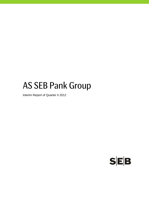# AS SEB Pank Group

Interim Report of Quarter II 2012

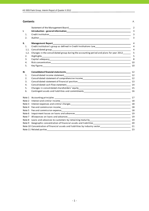#### **Contents** P.

|      | Statement of the Management Board Statement of the Statement of the Management Board                            | 2              |
|------|-----------------------------------------------------------------------------------------------------------------|----------------|
| I.   |                                                                                                                 | 3              |
| 1.   |                                                                                                                 | 3              |
| 2.   |                                                                                                                 | 3              |
| II.  | <b>Management Report</b>                                                                                        | $\overline{4}$ |
| 1.   |                                                                                                                 | 4              |
| 1.1. |                                                                                                                 | $\overline{4}$ |
| 1.2. | Changes in the consolidated group during the accounting period and plans for year 2012                          | 5              |
| 2.   | Highlights                                                                                                      | 5              |
| 3.   |                                                                                                                 | 8              |
| 4.   |                                                                                                                 | 10             |
| 5.   |                                                                                                                 | 10             |
| Ш.   |                                                                                                                 | 12             |
| 1.   | Consolidated income statement                                                                                   | 12             |
| 2.   |                                                                                                                 |                |
| 3.   |                                                                                                                 |                |
| 4.   | Consolidated cash flow statement<br><u>[14]</u> The consolidated cash flow statement                            |                |
| 5.   |                                                                                                                 |                |
| 6.   | Contingent assets and liabilities and commitments ______________________________                                | 16             |
|      |                                                                                                                 | 17             |
|      |                                                                                                                 | 18             |
|      |                                                                                                                 | 18             |
|      |                                                                                                                 |                |
|      |                                                                                                                 |                |
|      |                                                                                                                 | 19             |
|      |                                                                                                                 | 19             |
|      |                                                                                                                 |                |
|      | Note 9 Geographic concentration of financial assets and liabilities<br>20                                       |                |
|      | Note 10 Concentration of financial assets and liabilities by industry sector_________________________________21 |                |
|      |                                                                                                                 | 23             |
|      |                                                                                                                 |                |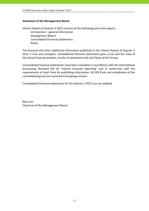# **Statement of the Management Board**

Interim Report of Quarter II 2012 consists of the following parts and reports: Introduction – general information Management Report Consolidated Financial Statements Notes

The financial and other additional information published in the Interim Report of Quarter II 2012 is true and complete. Consolidated financial statements give a true and fair view of the actual financial position, results of operations and cash flows of the Group.

Consolidated financial statements have been compiled in accordance with the International Accounting Standard IAS 34 "Interim financial reporting" and in conformity with the requirements of Eesti Pank for publishing information. AS SEB Pank and subsidiaries of the consolidated group are assumed to be going concern.

Consolidated financial statements for the Quarter II 2012 are not audited.

Riho Unt Chairman of the Management Board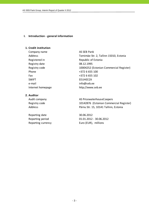## **I. Introduction ‐ general information**

# **1. Credit institution**

Company name AS SEB Pank Registered in Republic of Estonia Registry date 08.12.1995 Phone  $+3726655100$ Fax  $+3726655102$ SWIFT SWIFT ENGINEERING THE STREET e-mail info@seb.ee Internet homepage http://www.seb.ee

# **2. Auditor**

Reporting date 30.06.2012

Address Tornimäe Str. 2, Tallinn 15010, Estonia Registry code 10004252 (Estonian Commercial Register)

Audit company and all the AS PricewaterhouseCoopers Registry code 10142876 (Estonian Commercial Register) Address Pärnu Str. 15, 10141 Tallinn, Estonia

Reporting period 01.01.2012 - 30.06.2012 Reporting currency Euro (EUR), millions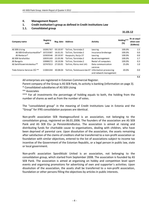# **II. Management Report**

# **1. Credit institution's group as defined in Credit Institutions Law**

# **1.1. Consolidated group**

 $\bf{31.03.12}$ 

| Company name                  | <b>Registry</b><br>code | Reg. date | <b>Address</b>            | <b>Activity</b>                                  | Holding***<br>(%) | At an acqui-<br>sition cost<br>(EURmio) |
|-------------------------------|-------------------------|-----------|---------------------------|--------------------------------------------------|-------------------|-----------------------------------------|
| AS SEB Liising                | 10281767                | 03.10.97  | Tallinn, Tornimäe 2       | Leasing                                          | 100.0%            | 1.5                                     |
| AS SEB Kindlustusmaakler*     | 10723587                | 16.01.01  | Tallinn, Tornimäe 2       | Insurance brokerage                              | 100.0%            | 0.0                                     |
| AS Rentacar*                  | 10303546                | 20.10.97  | Haapsalu, Karja 27        | Leasing                                          | 100.0%            | 0.0                                     |
| AS SEB Varahaldus             | 10035169                | 22.05.96  | Tallinn, Tornimäe 2       | Asset management                                 | 100.0%            | 2.7                                     |
| AS Bangalo                    | 10088272                | 18.10.96  | Tallinn. Tornimäe 2       | Rental of computers                              | 100.0%            | 0.3                                     |
| AS Sertifits eerimiskes kus** | 10747013                | 27.03.01  | Tallinn, Pärnu mnt 141    | Data communication<br>services                   | 25.0%             | 1.0                                     |
| Tieto Estonia Services OÜ **  | 11065244                | 30.08.04  | Tallinn, Tammsaare tee 47 | Information processing<br>and network management | 20.0%             | 0.0                                     |

All enterprises are registered in Estonian Commercial Register.

Parent company of the Group is AS SEB Pank, its activity is banking (information on page 3).

\* Consolidated subsidiaries of AS SEB Liising

\*\* Associates

\*\*\* For all investments the percentage of holding equals to both, the holding from the number of shares as well as from the number of votes.

The "consolidated group" in the meaning of Credit Institutions Law in Estonia and the "Group" for IFRS consolidation purposes are identical.

Non‐profit association SEB Heategevusfond is an association, not belonging to the consolidation group, registered on 06.01.2006. The founders of the association are AS SEB Pank and AS SEB Elu- ja Pensionikindlustus. The association is aimed at raising and distributing funds for charitable cause to organisations, dealing with children, who have been deprived of parental care. Upon dissolution of the association, the assets remaining after satisfaction of the claims of creditors shall be transferred to a non‐profit association or foundation with similar objectives, entered to the list of associations subject to income tax incentive of the Government of the Estonian Republic, or a legal person in public law, state or local government.

Non‐profit association Spordiklubi United is an association, not belonging to the consolidation group, which started from September 2008. The association is founded by AS SEB Pank. The association is aimed at organising on hobby and competition level sport events and organising promotions for advertising of own and supporter´s activities. Upon dissolution of the association, the assets shall be transferred to a non‐profit association, foundation or other persons filling the objectives by articles in public interests.

**5.5**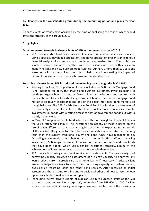# **1.2. Changes in the consolidated group during the accounting period and plans for year 2012**

No such events or trends have occurred by the time of publishing the report, which would affect the strategy of the group in 2012.

# **2. Highlights**

# **Activities geared towards business clients of SEB in the second quarter of 2012.**

 SEB Estonia started to offer its business clients in Estonia financial advisory services, using a specially developed application. The novel application presents an extensive financial analysis of a company in a simple and summarised form. Companies can simulate various scenarios together with their client executive, with a view to identifying risks and new business opportunities. During Q1 more than 120 sessions were held with business clients, in order to help them in evaluating the impact of different risk scenarios on their cash flows and capital structure.

# **Regarding private clients, SEB introduced the following service upgrades in Q2 2012:**

- Starting from April, SEB's portfolio of funds includes the SEB Danish Mortgage Bond Fund, intended for both, the private and business customers, investing mainly in bonds (mortgage bonds) issued by Danish financial institutions and secured with real estate and to smaller extent in government bonds. The Danish mortgage bond market is relatively exceptional and one of the oldest mortgage bond markets on the global scale. The SEB Danish Mortgage Bond Fund is a fund with a low level of risk, primarily intended for a client with a lower risk tolerance who wishes to make investments in bonds with a rating similar to that of government bonds but with a slightly higher yield.
- In May, SEB supplemented its fund selection with four new global funds of funds in the SEB Strategy fund family. The investment philosophy of these is based on the use of seven different asset classes, taking into account the expectations and trends of the market. The goal is to offer clients a more stable rate of return in the long term than the current traditional equity and bond funds have managed to do. Accordingly, we made some changes also in the fund offers. When managing investments, SEB keeps the risk in its focus, both in pension funds and new funds that have been added, which use a similar investment strategy, aiming at the achievement of investment results that are more stable than before.
- SEB offers a borrowing assessment service for private clients. The quick analysis of borrowing capacity provides an assessment of a client's capacity to apply for any loan product – from a credit card to a home loan – if necessary. A private client executive helps the clients to assess their borrowing capacity and, when needed, gives advice regarding loans and other bank services. After receiving an initial assessment, there is time to think and to decide whether and how to use the loan options available to realise the various plans.
- From June, active private clients of SEB can use hire-purchase limits at the SEB partners (stores and service enterprises), amounting from EUR 600 to 1000. A client with a pre-decided limit can sign a hire-purchase contract fast, since the decision on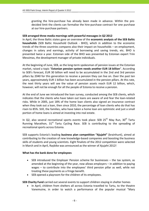granting the hire‐purchase has already been made in advance. Within the pre‐ decided limit the clients can formalise the hire‐purchase contract for one purchase at our hire‐purchase partners.

# **SEB arranged three media mornings with powerful messages in Q2 2012**

In April, the three Baltic states gave an overview of the **economic analysis of the SEB Baltic households** (SEB Baltic Household Outlook ‐ BHO), which in addition to the economic trends of the three countries compares also their impact on households – on employment, changes in salary and earnings, activity of borrowing and saving trends, etc. BHO is presented twice a year. Estonian side of the BHO was presented by Estonian expert Triin Messimas, the development manager of private individuals.

At the beginning of June, SEB, as the long‐term spokesman of pension issues at the Estonian market, raised a topic "**Estonian pension system needs another EUR 18 billion**". According to SEB's forecast, EUR 30 billion will need to be accumulated in the 2nd and 3rd pension pillars by 2040 for this generation to receive a pension they can live on. Over the past ten years, approximately EUR 1 billion has been accumulated in the pension pillars. At this rate, the next thirty years will see the value of pension assets reach EUR 12 billion, which, however, will not be enough for all the people of Estonia to receive a pension.

At the end of June we introduced the loan survey, conducted among the SEB clients, which indicates that the clients who have taken out loans are aware of and fear the loan‐related risks. While in 2005, just 18% of the home loan clients also signed an insurance contract when they took out a loan, then since 2010, the percentage of loan clients who do that has risen to 85%. Still, the families, who have taken a home loan are optimistic and just a small portion of home loans is aimed at investing into real estate.

In Q2, also several recreational sports events took place: SEB  $25<sup>th</sup>$  May Run,  $30<sup>th</sup>$  Tartu Running Marathon,  $31^{st}$  Tartu Cycling Race. SEB is contributing to the spreading of recreational sports across Estonia.

SEB supports Estonia's leading **business plan competition "Ajujaht"** (brainhunt), aimed at contributing to the creation of new knowledge‐based companies and boosting the business skills of students and young scientists. Eight finalists of the 2012 competition were selected in March and in April, Raybike was announced as the winner of Ajujaht 2012!

# **What has the bank done for employees**

- SEB introduced the Employer Pension scheme for businesses the tax system, as amended at the beginning of the year, now allows employers – in addition to paying wages – to contribute into the employees' third pension pillar as well, while not treating these payments as a fringe benefit.
- SEB opened a playroom for the children of its employees.

**SEB Charity Fund** carried out several events to support children staying in shelter homes

• In April, children from shelters all across Estonia travelled to Tartu, to the theatre Vanemuine, in order to watch a performance of the popular musical "Mary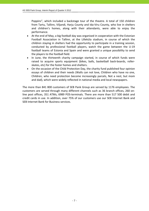Poppins", which included a backstage tour of the theatre. A total of 150 children from Tartu, Tallinn, Viljandi, Harju County and Ida‐Viru County, who live in shelters and children's homes, along with their attendants, were able to enjoy the performance.

- At the end of May, a big football day was organised in cooperation with the Estonian Football Association in Tallinn, at the Lilleküla stadium, in course of which the children staying in shelters had the opportunity to participate in a training session, conducted by professional football players, watch the game between the U‐19 football teams of Estonia and Spain and were granted a unique possibility to send the players to the football field.
- In June, the thirteenth charity campaign started, in course of which funds were raised to acquire sports equipment (bikes, balls, basketball back‐boards, roller‐ skates, etc) for the foster homes and shelters.
- On the occasion of the Child Protection Day, the charity fund published four opinion essays of children and their needs (Walls can not love, Children who have no one, Children, who need protection become increasingly parcels, Not a nest, but mom and dad), which were widely reflected in national media and local newspapers.

The more than 841 800 customers of SEB Pank Group are served by 1176 employees. The customers are served through many different channels such as 36 branch offices, 260 on‐ line post offices, 351 ATMs, 6989 POS‐terminals. There are more than 517 500 debit and credit cards in use. In addition, over 75% of our customers use our SEB Internet Bank and SEB Internet Bank for Business services.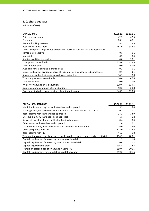# **3. Capital adequacy**

| <b>CAPITAL BASE</b>                                                             | 30.06.12 | 31.12.11 |
|---------------------------------------------------------------------------------|----------|----------|
| Paid-in share capital                                                           | 42.5     | 42.5     |
| Premium                                                                         | 86.1     | 86.1     |
| General banking reserves                                                        | 19.5     | 19.5     |
| Retained earnings / loss                                                        | 481.9    | 383.8    |
| Unrealised profit for previous periods on shares of subsidiaries and associated |          |          |
| companies (negative)                                                            | $-0.1$   | $-0.1$   |
| Intangibles                                                                     | $-0.3$   | $-0.4$   |
| Audited profit for the period                                                   | 0.0      | 98.1     |
| Total primary own funds                                                         | 629.6    | 629.5    |
| Subordinated debt                                                               | 0.0      | 50.0     |
| Available for sale financial instruments                                        | 0.2      | 0.1      |
| Unrealised part of profit on shares of subsidiaries and associated companies    | 0.1      | 0.1      |
| Allowances and adjustments exceeding expected loss                              | 10.3     | 10.6     |
| Total supplementary own funds                                                   | 10.6     | 60.8     |
| Total deductions                                                                | 0.0      | 0.0      |
| Primary own funds after deductions                                              | 629.6    | 629.5    |
| Supplementary own funds after deductions                                        | 10.6     | 60.8     |
| Own funds included in calculation of capital adequacy                           | 640.2    | 690.3    |

| <b>CAPITAL REQUIREMENTS</b>                                                          | 30.06.12 | 31.12.11 |
|--------------------------------------------------------------------------------------|----------|----------|
| Municipalities and regions with standardised approach                                | 5.3      | 5.4      |
| State agencies, non-profit institutions and associations with standardised           | 0.1      | 0.1      |
| Retail claims with standardised approach                                             | 14.2     | 13.9     |
| Overdue claims with standardised approach                                            | 1.1      | 1.2      |
| Shares of investment funds with standardised approach                                | 0.4      | 0.4      |
| Other assets with standardised approach                                              | 2.6      | 2.1      |
| Credit institutions, investment firms and municipalities with IRB                    | 6.0      | 7.0      |
| Other companies with IRB                                                             | 124.0    | 128.2    |
| Retail claims with IRB                                                               | 41.2     | 41.8     |
| Total capital requirements for covering the credit risk and counterparty credit risk | 194.9    | 200.1    |
| Capital requirement for covering interest position risk                              | 1.3      | 1.0      |
| Capital requirement for covering AMA of operational risk                             | 10.6     | 11.2     |
| Capital requirements total                                                           | 206.8    | 212.3    |
| Transition period floor of own funds if using IRB                                    | 299.6    | 301.5    |
| Capital requirements for calculating capital adequacy                                | 299.6    | 301.5    |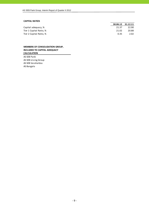### **CAPITAL RATIOS**

|                         |       | 30.06.12 31.12.11 |
|-------------------------|-------|-------------------|
| Capital adequacy, %     | 21.37 | 22.90             |
| Tier 1 Capital Ratio, % | 21.02 | 20.88             |
| Tier 2 Capital Ratio, % | 0.35  | 2.02              |

#### **MEMBERS OF CONSOLIDATION GROUP, INCLUDED TO CAPITAL ADEQUACY CALCULATION**

AS SEB Pank AS SEB Liising Group AS SEB Varahaldus AS Bangalo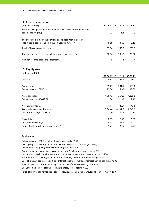| 4. Risk concentration                                                                                                   |          |          |          |
|-------------------------------------------------------------------------------------------------------------------------|----------|----------|----------|
| (millions of EUR)                                                                                                       | 30.06.12 | 31.12.11 | 30.06.11 |
| Total claims against persons associated with the credit institution's<br>consolidation group                            | 1.2      | 1.3      | 1.1      |
| The share of claims of the persons associated with the credit<br>institution's consolidation group in net own funds, %, | 0.19     | 0.18     | 0.19     |
| Total of large exposure claims                                                                                          | 377.4    | 269.0    | 237.7    |
| The share of large exposure claims in net own funds, %                                                                  | 58.96    | 38.98    | 39.02    |
| Number of large exposure customers                                                                                      | 5        | 4        | 4        |

#### **5. Key figures**

| (millions of EUR)                       |          |          |          |
|-----------------------------------------|----------|----------|----------|
|                                         | 30.06.12 | 31.12.11 | 30.06.11 |
| Net profit                              | 40.2     | 98.1     | 50.1     |
| Average equity                          | 650.7    | 581.1    | 557.0    |
| Return on equity (ROE), %               | 12.36    | 16.88    | 17.99    |
| Average assets                          | 4,057.2  | 4,214.9  | 4,175.0  |
| Return on assets (ROA), %               | 1.98     | 2.33     | 2.40     |
| Net interest income                     | 43.4     | 88.7     | 42.5     |
| Average interest earning assets         | 3,948.8  | 4,101.7  | 4,047.9  |
| Net interest margin (NIM), %            | 2.20     | 2.16     | 2.10     |
| Spread, %                               | 2.03     | 2.00     | 1.95     |
| Cost / Income ratio, %                  | 44.1     | 45.1     | 47.1     |
| Ratio of individually impaired loans, % | 1.77     | 2.25     | 2.93     |

#### **Explanations**

Return on equity (ROE) = Net profit/Average equity \* 100 Average equity = (Equity of current year end + Equity of previous year end)/2 Return on assets (ROA) = Net profit/Average assets \* 100 Average assets = (Assets of current year end + Assets of previous year end)/2 Cost of interest bearing liabilities = Interest expenses/Average interest bearing liabilities \*100 Cost/Income Ratio = Total Operating Expenses/Total Income \* 100 Spread = Yield on interest earning assets ‐ Cost of interest bearing liabilities Ratio of individually impaired loans = Individually impaired loans/Loans to customers \* 100 Net interest margin (NIM) = Net interest income/Average interest earning assets \* 100 Yield on interest earning assets = Interest income/Average interest earning assets \*100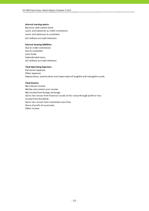#### **Interest earning assets:**

Balances with central bank Loans and advances to credit institutions (all without accrued interests) Loans and advances to customers

#### **Interest bearing liabilities:**

Due to credit institutions Due to customers Loan funds Subordinated loans (all without accrued interests)

#### **Total Operating Expenses:**

Personnel expenses Other expenses Depreciation, amortisation and impairment of tangible and intangible assets

#### **Total Income:**

Net interest income Net fee and commission income Net income from foreign exchange Gains less losses from financial assets at fair value through profit or loss Income from dividends Gains less losses from investment securities Share of profit of associates Other income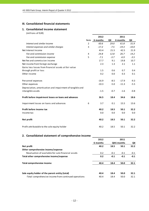# **III. Consolidated financial statements**

# **1. Consolidated income statement**

(millions of EUR)

|                                                           |                | 2012     |        | 2011     |         |
|-----------------------------------------------------------|----------------|----------|--------|----------|---------|
|                                                           | Note           | 6 months | QII    | 6 months | QII     |
| Interest and similar income                               | $\overline{2}$ | 60.6     | 29.0   | 61.8     | 31.9    |
| Interest expenses and similar charges                     | 3              | $-17.2$  | $-7.5$ | $-19.3$  | $-10.0$ |
| Net Interest Income                                       |                | 43.4     | 21.5   | 42.5     | 21.9    |
| Fee and commission income                                 | 4              | 24.8     | 12.8   | 26.7     | 14.2    |
| Fee and commission expense                                | 5              | $-7.1$   | $-3.7$ | $-6.9$   | $-3.5$  |
| Net fee and commission income                             |                | 17.7     | 9.1    | 19.8     | 10.7    |
| Net income from foreign exchange                          |                | 2.3      | 1.3    | 2.1      | 1.1     |
| Gains less losses from financial assets at fair value     |                |          |        |          |         |
| through profit or loss                                    |                | 1.5      | 0.6    | 0.7      | 0.4     |
| Other income                                              |                | 0.2      | 0.0    | 0.3      | 0.1     |
| Personnel expenses                                        |                | $-16.9$  | $-8.5$ | $-17.9$  | $-9.3$  |
| Other expenses                                            |                | $-10.3$  | $-5.0$ | $-11.3$  | $-5.5$  |
| Depreciation, amortisation and impairment of tangible and |                |          |        |          |         |
| intangible assets                                         |                | $-1.5$   | $-0.7$ | $-1.6$   | $-0.8$  |
| Profit before impairment losses on loans and advances     |                | 36.5     | 18.4   | 34.6     | 18.6    |
| Impairment losses on loans and advances                   | 6              | 3.7      | 0.1    | 15.5     | 13.6    |
| Profit before income tax                                  |                | 40.2     | 18.5   | 50.1     | 32.2    |
| Income tax                                                |                | 0.0      | 0.0    | 0.0      | 0.0     |
| Net profit                                                |                | 40.2     | 18.5   | 50.1     | 32.2    |
| Profit attributable to the sole equity holder             |                | 40.2     | 18.5   | 50.1     | 32.2    |

# **2. Consolidated statement of comprehensive income**

|                                                       | 2012     |        | 2011        |        |
|-------------------------------------------------------|----------|--------|-------------|--------|
|                                                       | 6 months |        | QII6 months | QII    |
| Net profit                                            | 40.2     | 18.5   | 50.1        | 32.2   |
| Other comprehensive income/expense                    |          |        |             |        |
| Revaluation of available-for-sale financial assets    | 0.2      | $-0.1$ | $-0.1$      | $-0.1$ |
| Total other comprehensive income/expense              | 0.2      | $-0.1$ | $-0.1$      | $-0.1$ |
| Total comprehensive income                            | 40.4     | 18.4   | 50.0        | 32.1   |
| Sole equity holder of the parent entity (total)       | 40.4     | 18.4   | 50.0        | 32.1   |
| -Total comprehensive income from continued operations | 40.4     | 18.4   | 50.0        | 32.1   |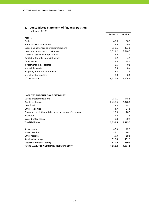# **3. Consolidated statement of financial position**

(millions of EUR)

|                                           | 30.06.12 | 31.12.11 |
|-------------------------------------------|----------|----------|
| <b>ASSETS</b>                             |          |          |
| Cash                                      | 46.8     | 38.7     |
| Balances with central bank                | 24.6     | 49.5     |
| Loans and advances to credit institutions | 350.5    | 423.0    |
| Loans and advances to customers           | 3,521.2  | 3,540.5  |
| Financial assets held for trading         | 24.2     | 21.0     |
| Available-for-sale financial assets       | 5.2      | 4.9      |
| Other assets                              | 29.3     | 18.0     |
| Investments in associates                 | 0.6      | 0.5      |
| Intangible assets                         | 0.3      | 0.4      |
| Property, plant and equipment             | 7.7      | 7.5      |
| Investment properties                     | 0.0      | 0.0      |
| <b>TOTAL ASSETS</b>                       | 4,010.4  | 4,104.0  |

#### **LIABILITIES AND SHAREHOLDERS' EQUITY**

| Due to credit institutions                                 | 759.1   | 948.5   |
|------------------------------------------------------------|---------|---------|
| Due to customers                                           | 2,458.6 | 2,378.8 |
| Loan funds                                                 | 22.8    | 18.1    |
| Other liabilities                                          | 74.7    | 54.8    |
| Financial liabilities at fair value through profit or loss | 22.9    | 20.5    |
| Provisions                                                 | 1.4     | 2.9     |
| Subordinated loans                                         | 0.0     | 50.1    |
| <b>Total Liabilities</b>                                   | 3,339.5 | 3,473.7 |
| Share capital                                              | 42.5    | 42.5    |
| Share premium                                              | 86.1    | 86.1    |
| Other reserves                                             | 19.9    | 19.8    |
| Retained earnings                                          | 522.4   | 481.9   |
| Total shareholders' equity                                 | 670.9   | 630.3   |
| TOTAL LIABILITIES AND SHAREHOLDERS' EQUITY                 | 4,010.4 | 4,104.0 |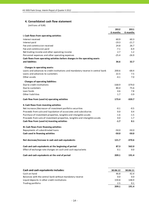# **4. Consolidated cash flow statement**

|                                                                                 | 2012     | 2011     |
|---------------------------------------------------------------------------------|----------|----------|
|                                                                                 | 6 months | 6 months |
| I. Cash flows from operating activities                                         |          |          |
| Interest received                                                               | 60.9     | 60.3     |
| Interest paid                                                                   | $-19.3$  | $-21.7$  |
| Fee and commission received                                                     | 24.8     | 26.7     |
| Fee and commission paid                                                         | $-7.1$   | $-6.9$   |
| Net trading income and other operating income                                   | 2.7      | 1.2      |
| Personnel expenses and other operating expenses                                 | $-25.4$  | $-26.9$  |
| Cash flows from operating activities before changes in the operating assets     |          |          |
| and liabilities                                                                 | 36.6     | 32.7     |
| Changes in operating assets:                                                    |          |          |
| Loans and advances to credit institutions and mandatory reserve in central bank | 200.6    | $-68.4$  |
| Loans and advances to customers                                                 | 22.5     | 7.5      |
| Other assets                                                                    | $-4.1$   | 7.0      |
|                                                                                 |          |          |
| <b>Changes of operating liabilities:</b>                                        |          |          |
| Due to credit institutions                                                      | $-168.9$ | $-379.0$ |
| Due to customers                                                                | 80.4     | 75.6     |
| Loan funds                                                                      | 4.6      | 7.8      |
| Other liabilities                                                               | 1.7      | $-3.9$   |
| Cash flow from (used in) operating activities                                   | 173.4    | $-320.7$ |
| II. Cash flows from investing activities                                        |          |          |
| Net increase-/decrease+ of investment portfolio securities                      | $-0.1$   | $-0.5$   |
| Proceeds from sale and liquidation of associates and subsidiaries               | 0.0      | 0.4      |
| Purchase of investment properties, tangible and intangible assets               | $-1.6$   | $-1.5$   |
| Proceeds from sale of investment properties, tangible and intangible assets     | 0.0      | 1.7      |
| Cash flow from (used in) investing activities                                   | $-1.7$   | 0.1      |
| III. Cash flows from financing activities                                       |          |          |
| Repayments of subordinated loans                                                | $-50.0$  | $-50.0$  |
| Cash used in financing activities                                               | $-50.0$  | $-50.0$  |
|                                                                                 |          |          |
| Net decrease/increase in cash and cash equivalents                              | 121.7    | $-370.6$ |
| Cash and cash equivalents at the beginning of period                            | 87.3     | 562.0    |
| Effect of exchange rate changes on cash and cash equivalents                    | 0.1      | $0.0\,$  |
| Cash and cash equivalents at the end of period                                  | 209.1    | 191.4    |

| Cash and cash equivalents includes:                      | 30.06.12 | 30.06.11 |
|----------------------------------------------------------|----------|----------|
| Cash on hand                                             | 46.8     | 42.4     |
| Balances with the central bank without mandatory reserve | 0.0      | 0.0      |
| Liquid deposits in other credit institutions             | 159.8    | 148.9    |
| Trading portfolio                                        | 2.5      | 0.1      |
|                                                          | 209.1    | 191.4    |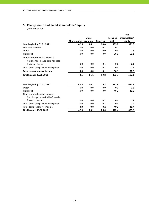# **5. Changes in consolidated shareholders' equity**

|                                                                  |               |              |                 |                 | <b>Total</b>  |
|------------------------------------------------------------------|---------------|--------------|-----------------|-----------------|---------------|
|                                                                  |               | <b>Share</b> |                 | <b>Retained</b> | shareholders' |
|                                                                  | Share capital | premium      | <b>Reserves</b> | profit          | equity        |
| Year beginning 01.01.2011                                        | 42.5          | 86.1         | 20.0            | 383.2           | 531.8         |
| Statutory reserve                                                | 0.0           | 0.0          | $-0.1$          | 0.1             | 0.0           |
| Other                                                            | 0.0           | 0.0          | 0.0             | 0.3             | 0.3           |
| Net profit                                                       | 0.0           | 0.0          | 0.0             | 50.1            | 50.1          |
| Other comprehensive expense:<br>Net change in available-for-sale |               |              |                 |                 |               |
| financial assets                                                 | 0.0           | 0.0          | $-0.1$          | 0.0             | $-0.1$        |
| Total other comprehensive expense                                | 0.0           | 0.0          | $-0.1$          | 0.0             | $-0.1$        |
| <b>Total comprehensive income</b>                                | 0.0           | 0.0          | $-0.1$          | 50.1            | 50.0          |
| <b>Final balance 30.06.2011</b>                                  | 42.5          | 86.1         | 19.8            | 433.7           | 582.1         |
| Year beginning 01.01.2012                                        | 42.5          | 86.1         | 19.8            | 481.9           | 630.3         |
| Other                                                            | 0.0           | 0.0          | 0.0             | 0.3             | 0.3           |
| Net profit                                                       | 0.0           | 0.0          | 0.0             | 40.2            | 40.2          |
| Other comprehensive expense:<br>Net change in available-for-sale |               |              |                 |                 |               |
| financial assets                                                 | 0.0           | 0.0          | 0.2             | 0.0             | 0.2           |
| Total other comprehensive expense                                | 0.0           | 0.0          | 0.2             | 0.0             | 0.2           |
| Total comprehensive income                                       | 0.0           | 0.0          | 0.2             | 40.2            | 40.4          |
| <b>Final balance 30.06.2012</b>                                  | 42.5          | 86.1         | 20.0            | 522.4           | 671.0         |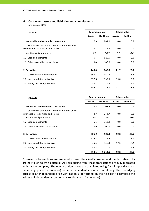# **6. Contingent assets and liabilities and commitments**

(millions of EUR)

| 30.06.12                                                                                   | <b>Contract amount</b> |                    | <b>Balance value</b> |                    |
|--------------------------------------------------------------------------------------------|------------------------|--------------------|----------------------|--------------------|
|                                                                                            | <b>Assets</b>          | <b>Liabilities</b> | <b>Assets</b>        | <b>Liabilities</b> |
| 1. Irrevocable and revocable transactions                                                  | 7.3                    | 981.1              | 0.0                  | 0.0                |
| 1.1. Guarantees and other similar off-balance sheet<br>irrovocable liabilitieas and claims | 0.8                    | 251.6              | 0.0                  | 0.0                |
| incl. financial quarantees                                                                 | 0.0                    | 88.7               | 0.0                  | 0.0                |
| 1.2. Loan commitments                                                                      | 6.5                    | 629.5              | 0.0                  | 0.0                |
| 1.3. Other revocable transactions                                                          | 0.0                    | 100.0              | 0.0                  | 0.0                |
| 2. Derivatives                                                                             | 748.4                  | 748.0              | 21.7                 | 22.9               |
| 2.1. Currency related derivatives                                                          | 360.4                  | 360.7              | 1.4                  | 1.8                |
| 2.2. Interest related derivatives                                                          | 357.6                  | 357.5              | 19.0                 | 19.0               |
| 2.3. Equity related derivatives*                                                           | 30.4                   | 29.8               | 1.3                  | 2.1                |
|                                                                                            | 755.7                  | 1,729.1            | 21.7                 | 22.9               |

| 31.12.11                                                                                                                 | <b>Contract amount</b> |                    | <b>Balance value</b> |                    |
|--------------------------------------------------------------------------------------------------------------------------|------------------------|--------------------|----------------------|--------------------|
|                                                                                                                          | <b>Assets</b>          | <b>Liabilities</b> | <b>Assets</b>        | <b>Liabilities</b> |
| 1. Irrevocable and revocable transactions                                                                                | 7.2                    | 707.6              | 0.0                  | 0.0                |
| 1.1. Guarantees and other similar off-balance sheet<br>irrovocable liabilitieas and claims<br>incl. financial quarantees | 0.7<br>0.0             | 244.7<br>76.5      | 0.0<br>0.0           | 0.0<br>0.0         |
| 1.2. Loan commitments                                                                                                    | 6.5                    | 362.9              | 0.0                  | 0.0                |
| 1.3. Other revocable transactions                                                                                        | 0.0                    | 100.0              | 0.0                  | 0.0                |
| 2. Derivatives                                                                                                           | 506.9                  | 505.9              | 19.8                 | 20.5               |
| 2.1. Currency related derivatives                                                                                        | 119.8                  | 119.5              | 1.3                  | 1.1                |
| 2.2. Interest related derivatives                                                                                        | 346.5                  | 346.4              | 17.3                 | 17.2               |
| 2.3. Equity related derivatives*                                                                                         | 40.6                   | 40.0               | 1.2                  | $2.2^{\circ}$      |
|                                                                                                                          | 514.1                  | 1,213.5            | 19.8                 | 20.5               |

\* Derivative transactions are executed to cover the client's position and the derivative risks are not taken to own portfolio. All risks arising from these transactions are fully mitigated with parent company. The equity option prices are calculated using for all input data (e.g. underlying prices or volumes) either independently sourced input (e.g. the underlying prices) or an independent price verification is performed on the next day to compare the values to independently sourced market data (e.g. for volumes).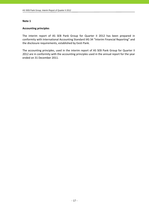# **Accounting principles**

The interim report of AS SEB Pank Group for Quarter II 2012 has been prepared in conformity with International Accounting Standard IAS 34 "Interim Financial Reporting" and the disclosure requirements, established by Eesti Pank.

The accounting principles, used in the interim report of AS SEB Pank Group for Quarter II 2012 are in conformity with the accounting principles used in the annual report for the year ended on 31 December 2011.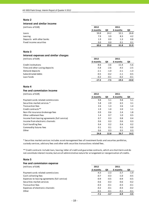#### **Interest and similar income**

| (millions of EUR)         | 2012     |      | 2011     |      |
|---------------------------|----------|------|----------|------|
|                           | 6 months | QII  | 6 months | QII  |
| Loans                     | 50.8     | 24.2 | 52.1     | 26.8 |
| Leasing                   | 7.9      | 3.9  | 8.3      | 4.2  |
| Deposits with other banks | 1.9      | 0.9  | 1.3      | 0.8  |
| Fixed income securities   | 0.0      | 0.0  | 0.1      | 0.1  |
|                           | 60.6     | 29.0 | 61.8     | 31.9 |

#### **Note 3**

#### **Interest expenses and similar charges**

| (millions of EUR) | 2012 | 2011 |
|-------------------|------|------|
|                   |      |      |

|                                | 6 months | QII    | 6 months | QII     |
|--------------------------------|----------|--------|----------|---------|
| Credit institutions            | -8.6     | $-3.6$ | $-11.4$  | $-5.6$  |
| Time and other saving deposits | $-5.8$   | $-2.6$ | $-4.5$   | $-2.5$  |
| Demand deposits                | $-2.1$   | $-1.0$ | $-2.1$   | $-1.3$  |
| Subordinated debts             | $-0.5$   | $-0.2$ | $-1.1$   | $-0.5$  |
| Loan funds                     | $-0.2$   | $-0.1$ | $-0.2$   | $-0.1$  |
|                                | $-17.2$  | -7.5   | $-19.3$  | $-10.0$ |

### **Note 4**

#### **Fee and commission income**

| (millions of EUR) | 2012 | 2011 |
|-------------------|------|------|
|                   |      |      |

|                                               | 6 months | QII  | 6 months | QII  |
|-----------------------------------------------|----------|------|----------|------|
| Payment cards related commissions             | 9.8      | 5.1  | 9.8      | 5.1  |
| Securities market services *                  | 5.8      | 2.9  | 6.5      | 3.1  |
| <b>Transaction fees</b>                       | 2.6      | 1.3  | 2.6      | 1.4  |
| Credit contracts**                            | 1.9      | 1.0  | 2.0      | 1.1  |
| Non-life insurance brokerage fees             | 0.9      | 0.6  | 2.4      | 1.8  |
| Other settlement fees                         | 1.4      | 0.7  | 1.0      | 0.5  |
| Income from leasing agreements (full service) | 0.7      | 0.3  | 0.8      | 0.4  |
| Income from electronic channels               | 0.6      | 0.3  | 0.6      | 0.3  |
| Cash handling fees                            | 0.4      | 0.2  | 0.4      | 0.2  |
| Commodity futures fees                        | 0.1      | 0.1  | 0.1      | 0.0  |
| Other                                         | 0.6      | 0.3  | 0.5      | 0.3  |
|                                               | 24.8     | 12.8 | 26.7     | 14.2 |

\* Securities market services includes asset management fees of investment funds and securties portfolios, custody services, advisory fees and other with securities transactions related fees.

\*\* Credit contracts include loan, leasing, letter of credit and guarantee contracts, which are short‐term and do not constitute interest income, but are of administrative nature for arrangement or reorganisation of credits.

#### **Note 5**

| Fee and commission expense                    |          |        |          |        |
|-----------------------------------------------|----------|--------|----------|--------|
| (millions of EUR)                             | 2012     |        | 2011     |        |
|                                               | 6 months | QII    | 6 months | QII    |
| Payment cards related commissions             | $-4.3$   | $-2.3$ | $-3.7$   | $-1.9$ |
| Cash collecting fees                          | $-0.7$   | $-0.3$ | $-1.0$   | $-0.5$ |
| Expenses to leasing agreements (full service) | $-0.9$   | $-0.5$ | $-0.9$   | $-0.5$ |
| Securities market services                    | $-0.6$   | $-0.3$ | $-0.6$   | $-0.2$ |
| Transaction fees                              | $-0.3$   | $-0.1$ | $-0.3$   | $-0.1$ |
| Expenses of electronic channels               | $-0.2$   | $-0.1$ | $-0.3$   | $-0.2$ |
| Other                                         | $-0.1$   | $-0.1$ | $-0.1$   | $-0.1$ |
|                                               | $-7.1$   | $-3.7$ | $-6.9$   | $-3.5$ |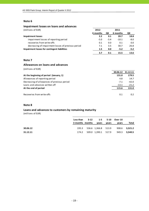#### **Impairment losses on loans and advances**

| (millions of EUR)                                  | 2012     |        | 2011     |        |
|----------------------------------------------------|----------|--------|----------|--------|
|                                                    | 6 months | QII    | 6 months | QII    |
| <b>Impairment losses</b>                           | 2.2      | 0.1    | 20.7     | 18.8   |
| impairment losses of reporting period              | $-5.0$   | $-3.4$ | $-10.1$  | $-8.0$ |
| recoveries from write-offs                         | 0.1      | 0.0    | 0.1      | 0.0    |
| decreasing of impairment losses of previous period | 7.1      | 3.5    | 30.7     | 26.8   |
| Impairment losses for contingent liabilities       | 1.5      | 0.0    | $-5.2$   | $-5.2$ |
|                                                    | 3.7      | 0.1    | 15.5     | 13.6   |

#### **Note 7**

# **Allowances on loans and advances**

(millions of EUR)

|                                             | 30.06.12 | 31.12.11 |
|---------------------------------------------|----------|----------|
| At the beginning of period (January, 1)     | 131.0    | 179.5    |
| Allowances of reporting period              | 4.8      | 14.7     |
| Decreasing of allowances of previous period | $-7.1$   | $-42.0$  |
| Loans and advances written off              | $-13.1$  | $-21.2$  |
| At the end of period                        | 115.6    | 131.0    |
|                                             |          |          |
| Recoveries from write-offs                  | 0.1      | 0.2      |

#### **Note 8**

# **Loans and advances to customers by remaining maturity**

|          | Less than 3-12 1-5 5-10 Over 10 |                           |       |       |                      |
|----------|---------------------------------|---------------------------|-------|-------|----------------------|
|          | 3 months months                 | vears                     | vears | vears | Total                |
| 30.06.12 |                                 | 195.3 536.6 1,366.8 513.9 |       |       | 908.6 3.521.2        |
| 31.12.11 |                                 | 174.2 509.0 1,390.1 517.9 |       |       | 949.3 <b>3.540.5</b> |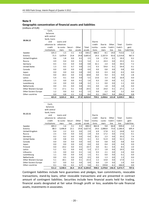#### **Geographic concentration of financial assets and liabilities**

(millions of EUR)

| 30.06.12             | Cash,        |           |         |        |         |          |         |          |          |             |
|----------------------|--------------|-----------|---------|--------|---------|----------|---------|----------|----------|-------------|
|                      | balances     |           |         |        |         |          |         |          |          |             |
|                      | with central |           |         |        |         |          |         |          |          |             |
|                      | bank, loans  |           |         |        |         |          |         |          |          |             |
|                      | and          | Loans and |         |        |         | Due to   |         |          |          |             |
|                      | advances to  | advances  |         |        |         | credit   | Due to  | Other    | Total    | Contin-     |
|                      | credit       | to custo- | Securi- | Other  | Total   | institu- | custo-  | liabili- | liabili- | gent        |
|                      | institutions | mers      | ties    | assets | assets  | tions    | mers    | ties     | ti es    | liabilities |
| Sweden               | 325.3        | 1.5       | 3.1     | 0.3    | 330.2   | 686.5    | 8.1     | 19.0     | 713.6    | 1.3         |
| Estonia              | 71.5         | 3,479.9   | 23.8    | 29.8   | 3,605.0 | 19.3     | 2,107.9 | 92.6     | 2,219.8  | 967.3       |
| United Kingdom       | 0.6          | 1.8       | 0.0     | 0.1    | 2.5     | 1.6      | 17.6    | 0.1      | 19.3     | 0.2         |
| Russia               | 4.9          | 0.4       | 0.0     | 0.1    | 5.4     | 1.2      | 24.3    | 0.0      | 25.5     | 0.1         |
| Germany              | 0.5          | 0.3       | 0.0     | 0.0    | 0.8     | 32.1     | 2.4     | 0.0      | 34.5     | 7.2         |
| <b>United States</b> | 1.3          | 0.5       | 0.7     | 0.0    | 2.5     | 0.3      | 59.0    | 0.1      | 59.4     | 0.1         |
| Canada               | 0.0          | 0.0       | 0.0     | 0.0    | 0.0     | 0.0      | 0.8     | 0.0      | 0.8      | 0.0         |
| Japan                | 0.0          | 0.0       | 0.0     | 0.0    | 0.0     | 0.0      | 0.3     | 0.0      | 0.3      | 0.0         |
| Finland              | 0.0          | 18.3      | 0.0     | 0.5    | 18.8    | 0.0      | 9.4     | 0.5      | 9.9      | 2.8         |
| Latvia               | 5.4          | 0.1       | 0.0     | 0.0    | 5.5     | 13.6     | 3.3     | 0.0      | 16.9     | 0.0         |
| Lithuania            | 1.5          | 0.0       | 0.0     | 0.1    | 1.6     | 0.3      | 2.8     | 0.0      | 3.1      | 0.0         |
| Luxembourg           | 2.4          | 0.0       | 0.0     | 0.8    | 3.2     | 1.1      | 0.0     | 0.0      | 1.1      | 0.0         |
| Netherlands          | 0.0          | 0.5       | 0.0     | 0.0    | 0.5     | 0.0      | 1.8     | 0.0      | 1.8      | 0.0         |
| Other Western Europe | 7.3          | 17.1      | 0.1     | 0.0    | 24.5    | 3.0      | 24.0    | 0.1      | 27.1     | 1.3         |
| Other Eastern Europe | 1.2          | 0.0       | 0.2     | 0.1    | 1.5     | 0.0      | 2.2     | 0.0      | 2.2      | 0.0         |
| Other countries      | 0.0          | 0.8       | 2.1     | 5.5    | 8.4     | 0.1      | 194.7   | 9.4      | 204.2    | 0.8         |
|                      | 421.9        | 3,521.2   | 30.0    | 37.3   | 4,010.4 | 759.1    | 2,458.6 | 121.8    | 3,339.5  | 981.1       |

| 31.12.11             | Cash,<br>balances<br>with central |           |         |        |         |          |         |          |          |             |
|----------------------|-----------------------------------|-----------|---------|--------|---------|----------|---------|----------|----------|-------------|
|                      | bank, loans                       |           |         |        |         |          |         |          |          |             |
|                      | and                               | Loans and |         |        |         | Due to   |         |          |          |             |
|                      | advances to                       | advances  |         |        |         | credit   | Due to  | Other    | Total    | Contin-     |
|                      | credit                            | to custo- | Securi- | Other  | Total   | institu- | custo-  | liabili- | liabili- | gent        |
|                      | institutions                      | mers      | ti es   | assets | assets  | tions    | mers    | ti es    | ti es    | liabilities |
| Sweden               | 403.3                             | 1.6       | 3.1     | 0.3    | 408.3   | 862.8    | 9.8     | 66.8     | 939.4    | 1.3         |
| Estonia              | 88.3                              | 3,496.8   | 22.1    | 19.8   | 3,627.0 | 24.6     | 2,088.8 | 73.0     | 2,186.4  | 695.4       |
| United Kingdom       | 0.4                               | 2.2       | 0.3     | 0.0    | 2.9     | 6.9      | 17.8    | 0.1      | 24.8     | 0.2         |
| Russia               | 2.5                               | 0.4       | 0.0     | 0.0    | 2.9     | 0.4      | 17.2    | 0.0      | 17.6     | 0.1         |
| Germany              | 0.2                               | 0.2       | 0.0     | 0.0    | 0.4     | 33.2     | 2.3     | 0.0      | 35.5     | 7.4         |
| <b>United States</b> | 2.8                               | 0.8       | 0.5     | 0.0    | 4.1     | 0.2      | 51.9    | 0.0      | 52.1     | 0.1         |
| Canada               | 0.0                               | 0.0       | 0.0     | 0.0    | 0.0     | 0.0      | 0.8     | 0.0      | 0.8      | 0.0         |
| Japan                | 0.0                               | 0.0       | 0.0     | 0.0    | 0.0     | 0.0      | 0.4     | 0.0      | 0.4      | 0.0         |
| Finland              | 0.0                               | 19.2      | 0.0     | 0.5    | 19.7    | 0.0      | 8.1     | 0.4      | 8.5      | 2.0         |
| Latvia               | 5.2                               | 0.1       | 0.0     | 0.0    | 5.3     | 17.7     | 1.8     | 0.0      | 19.5     | 0.0         |
| Lithuania            | 1.5                               | 0.0       | 0.0     | 0.1    | 1.6     | 0.3      | 2.1     | 0.0      | 2.4      | 0.0         |
| Luxembourg           | 1.1                               | 0.0       | 0.0     | 0.4    | 1.5     | 0.1      | 0.0     | 0.0      | 0.1      | 0.0         |
| Netherlands          | 0.0                               | 0.5       | 0.0     | 0.0    | 0.5     | 0.0      | 1.3     | 0.0      | 1.3      | 0.0         |
| Other Western Europe | 5.1                               | 18.1      | 0.0     | 0.1    | 23.3    | 2.2      | 14.8    | 0.0      | 17.0     | 1.1         |
| Other Eastern Europe | 0.7                               | 0.0       | 0.2     | 0.0    | 0.9     | 0.0      | 1.9     | 0.0      | 1.9      | 0.0         |
| Other countries      | 0.1                               | 0.6       | 0.2     | 4.7    | 5.6     | 0.1      | 159.8   | 6.1      | 166.0    | 0.0         |
|                      | 511.2                             | 3,540.5   | 26.4    | 25.9   | 4,104.0 | 948.5    | 2,378.8 | 146.4    | 3,473.7  | 707.6       |

Contingent liabilities include here guarantees and pledges, loan commitments, revocable transactions, stand‐by loans, other revocable transactions and are presented in contract amount of contingent liabilities. Securities include here financial assets held for trading, financial assets designated at fair value through profit or loss, available‐for‐sale financial assets, investments in associates.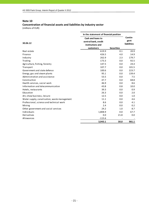# **Concentration of financial assets and liabilities by industry sector**

|                                              | In the statement of financial position                        |                   |                                       |
|----------------------------------------------|---------------------------------------------------------------|-------------------|---------------------------------------|
| 30.06.12                                     | Cash and loans to<br>central bank, credit<br>institutions and |                   | Contin-<br>gent<br><b>liabilities</b> |
|                                              | customers                                                     | <b>Securities</b> |                                       |
| Real estate                                  | 619.9                                                         | 0.1               | 20.9                                  |
| Finance                                      | 426.5                                                         | 4.0               | 14.9                                  |
| Industry                                     | 262.9                                                         | 2.3               | 179.7                                 |
| Trading                                      | 173.3                                                         | 0.0               | 92.5                                  |
| Agriculture, fishing, forestry               | 147.5                                                         | 0.0               | 24.4                                  |
| Transport                                    | 107.7                                                         | 0.0               | 101.5                                 |
| Government and state defence                 | 100.6                                                         | 0.0               | 223.7                                 |
| Energy, gas and steam plants                 | 95.1                                                          | 0.0               | 139.4                                 |
| Administration and assistance                | 53.5                                                          | 0.0               | 7.5                                   |
| Construction                                 | 47.7                                                          | 0.0               | 68.8                                  |
| Health services, social work                 | 46.9                                                          | 0.0               | 8.6                                   |
| Information and telecommunication            | 43.8                                                          | 0.8               | 10.0                                  |
| Hotels, restaurants                          | 39.3                                                          | 0.0               | 0.9                                   |
| Education                                    | 26.3                                                          | 0.0               | 2.0                                   |
| Art, show business, leisure                  | 12.5                                                          | 0.0               | 1.0                                   |
| Water supply, canalisation, waste management | 11.1                                                          | 0.0               | 4.6                                   |
| Professional, science and technical work     | 8.6                                                           | 0.0               | 4.1                                   |
| Mining                                       | 2.4                                                           | 0.0               | 0.2                                   |
| Other government and social services         | 24.2                                                          | 1.0               | 8.7                                   |
| Individuals                                  | 1,808.9                                                       | 0.0               | 67.7                                  |
| Derivatives                                  | 0.0                                                           | 21.8              | 0.0                                   |
| Allowances                                   | $-115.6$                                                      |                   |                                       |
|                                              | 3,943.1                                                       | 30.0              | 981.1                                 |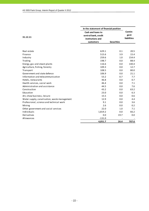|                                              | In the statement of financial position                        |                   |                                       |
|----------------------------------------------|---------------------------------------------------------------|-------------------|---------------------------------------|
| 31.12.11                                     | Cash and loans to<br>central bank, credit<br>institutions and |                   | Contin-<br>gent<br><b>liabilities</b> |
|                                              | customers                                                     | <b>Securities</b> |                                       |
|                                              |                                                               |                   |                                       |
| Real estate                                  | 629.1                                                         | 0.1               | 20.5                                  |
| Finance                                      | 515.6                                                         | 3.9               | 15.4                                  |
| Industry                                     | 259.6                                                         | 1.0               | 154.4                                 |
| Trading                                      | 198.7                                                         | 0.0               | 88.4                                  |
| Energy, gas and steam plants                 | 116.6                                                         | 0.0               | 140.4                                 |
| Agriculture, fishing, forestry               | 109.3                                                         | 0.0               | 12.7                                  |
| Transport                                    | 108.5                                                         | 0.0               | 80.0                                  |
| Government and state defence                 | 106.9                                                         | 0.0               | 21.1                                  |
| Information and telecommunication            | 53.2                                                          | 0.7               | 7.7                                   |
| Hotels, restaurants                          | 46.8                                                          | 0.0               | 0.7                                   |
| Health services, social work                 | 46.4                                                          | 0.0               | 7.1                                   |
| Administration and assistance                | 44.5                                                          | 0.0               | 7.6                                   |
| Construction                                 | 43.2                                                          | 0.0               | 63.2                                  |
| Education                                    | 23.0                                                          | 0.0               | 6.3                                   |
| Art, show business, leisure                  | 15.5                                                          | 0.0               | 0.6                                   |
| Water supply, canalisation, waste management | 12.9                                                          | 0.0               | 4.4                                   |
| Professional, science and technical work     | 9.1                                                           | 0.0               | 3.6                                   |
| Mining                                       | 2.6                                                           | 0.0               | 0.2                                   |
| Other government and social services         | 22.0                                                          | 1.0               | 7.1                                   |
| Individuals                                  | 1,819.2                                                       | 0.0               | 66.2                                  |
| Derivatives                                  | 0.0                                                           | 19.7              | 0.0                                   |
| Allowances                                   | $-131.0$                                                      |                   |                                       |
|                                              | 4,051.7                                                       | 26.4              | 707.6                                 |